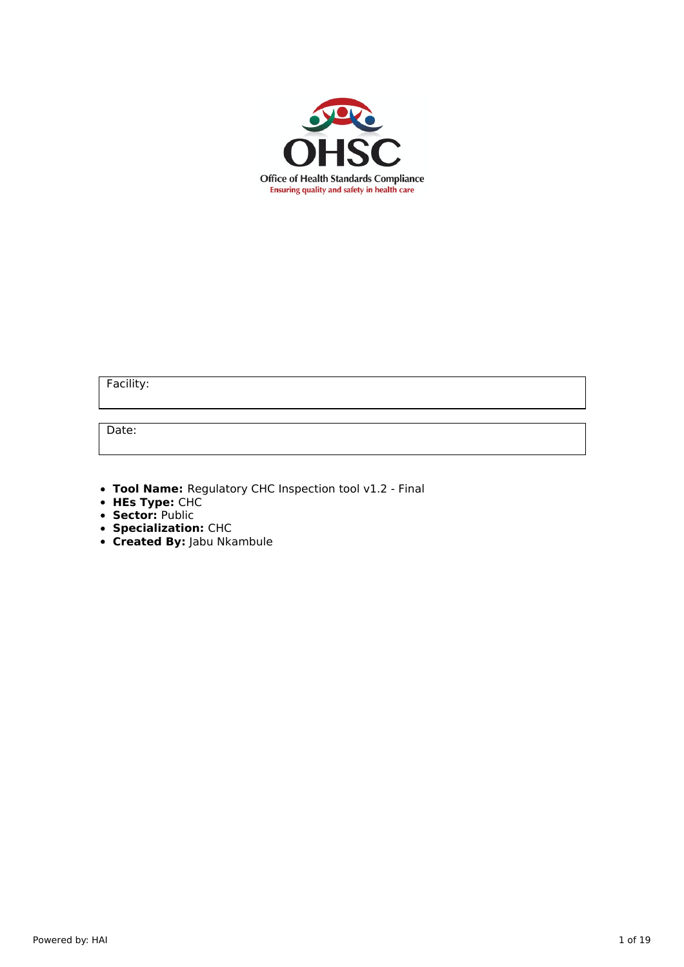

Facility:

Date:

- **Tool Name:** Regulatory CHC Inspection tool v1.2 Final
- **HEs Type:** CHC
- **Sector:** Public
- **Specialization:** CHC
- **Created By:** Jabu Nkambule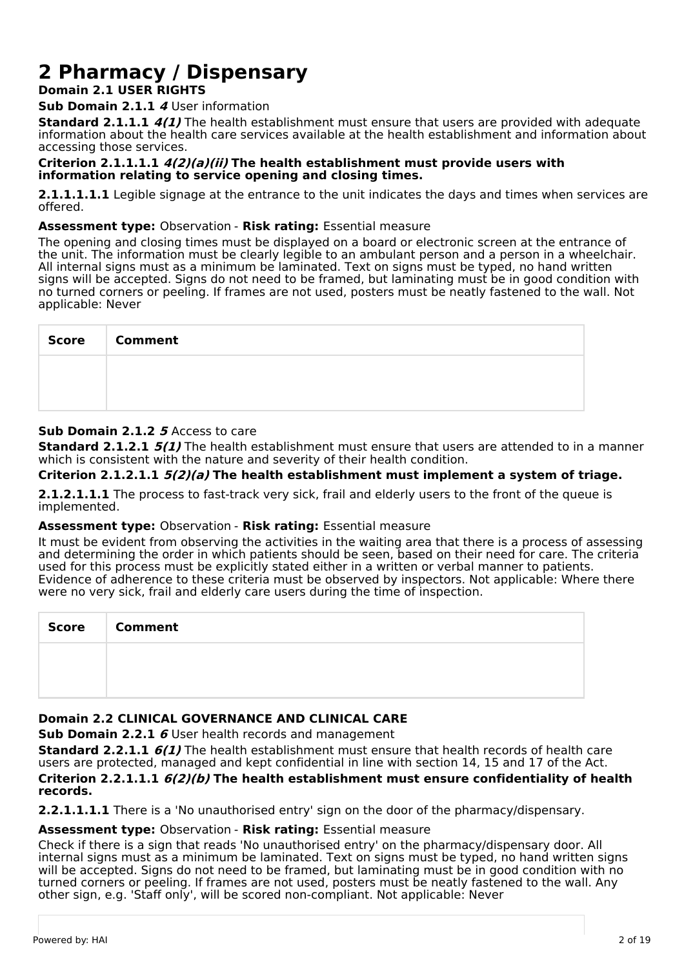# **2 Pharmacy / Dispensary**

## **Domain 2.1 USER RIGHTS**

**Sub Domain 2.1.1 4** User information

**Standard 2.1.1.1 4(1)** The health establishment must ensure that users are provided with adequate information about the health care services available at the health establishment and information about accessing those services.

#### **Criterion 2.1.1.1.1 4(2)(a)(ii) The health establishment must provide users with information relating to service opening and closing times.**

**2.1.1.1.1.1** Legible signage at the entrance to the unit indicates the days and times when services are offered.

## **Assessment type:** Observation - **Risk rating:** Essential measure

The opening and closing times must be displayed on a board or electronic screen at the entrance of the unit. The information must be clearly legible to an ambulant person and a person in a wheelchair. All internal signs must as a minimum be laminated. Text on signs must be typed, no hand written signs will be accepted. Signs do not need to be framed, but laminating must be in good condition with no turned corners or peeling. If frames are not used, posters must be neatly fastened to the wall. Not applicable: Never

| <b>Score</b> | <b>Comment</b> |
|--------------|----------------|
|              |                |
|              |                |

## **Sub Domain 2.1.2 5** Access to care

**Standard 2.1.2.1 5(1)** The health establishment must ensure that users are attended to in a manner which is consistent with the nature and severity of their health condition.

## **Criterion 2.1.2.1.1 5(2)(a) The health establishment must implement a system of triage.**

**2.1.2.1.1.1** The process to fast-track very sick, frail and elderly users to the front of the queue is implemented.

### **Assessment type:** Observation - **Risk rating:** Essential measure

It must be evident from observing the activities in the waiting area that there is a process of assessing and determining the order in which patients should be seen, based on their need for care. The criteria used for this process must be explicitly stated either in a written or verbal manner to patients. Evidence of adherence to these criteria must be observed by inspectors. Not applicable: Where there were no very sick, frail and elderly care users during the time of inspection.

| <b>Score</b> | <b>Comment</b> |
|--------------|----------------|
|              |                |
|              |                |

## **Domain 2.2 CLINICAL GOVERNANCE AND CLINICAL CARE**

**Sub Domain 2.2.1 6** User health records and management

**Standard 2.2.1.1 6(1)** The health establishment must ensure that health records of health care users are protected, managed and kept confidential in line with section 14, 15 and 17 of the Act. **Criterion 2.2.1.1.1 6(2)(b) The health establishment must ensure confidentiality of health records.**

**2.2.1.1.1.1** There is a 'No unauthorised entry' sign on the door of the pharmacy/dispensary.

## **Assessment type:** Observation - **Risk rating:** Essential measure

Check if there is a sign that reads 'No unauthorised entry' on the pharmacy/dispensary door. All internal signs must as a minimum be laminated. Text on signs must be typed, no hand written signs will be accepted. Signs do not need to be framed, but laminating must be in good condition with no turned corners or peeling. If frames are not used, posters must be neatly fastened to the wall. Any other sign, e.g. 'Staff only', will be scored non-compliant. Not applicable: Never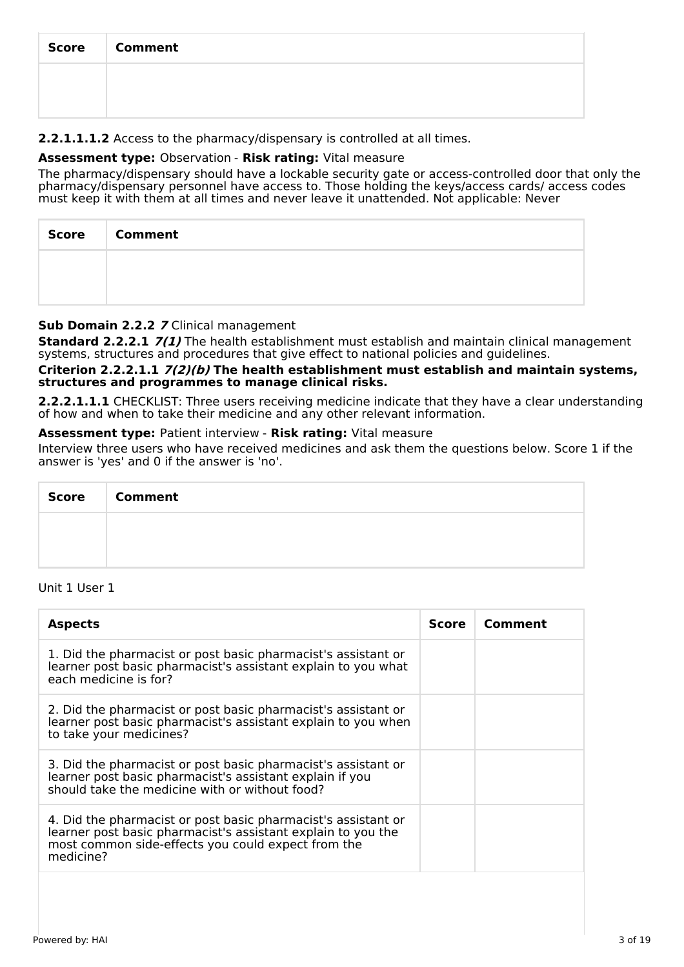| <b>Score</b> | <b>Comment</b> |
|--------------|----------------|
|              |                |
|              |                |

## **2.2.1.1.1.2** Access to the pharmacy/dispensary is controlled at all times.

## **Assessment type:** Observation - **Risk rating:** Vital measure

The pharmacy/dispensary should have a lockable security gate or access-controlled door that only the pharmacy/dispensary personnel have access to. Those holding the keys/access cards/ access codes must keep it with them at all times and never leave it unattended. Not applicable: Never

| <b>Score</b><br>- 1 | Comment |
|---------------------|---------|
|                     |         |
|                     |         |

## **Sub Domain 2.2.2 7** Clinical management

**Standard 2.2.2.1 7(1)** The health establishment must establish and maintain clinical management systems, structures and procedures that give effect to national policies and guidelines.

#### **Criterion 2.2.2.1.1 7(2)(b) The health establishment must establish and maintain systems, structures and programmes to manage clinical risks.**

**2.2.2.1.1.1** CHECKLIST: Three users receiving medicine indicate that they have a clear understanding of how and when to take their medicine and any other relevant information.

### **Assessment type:** Patient interview - **Risk rating:** Vital measure

Interview three users who have received medicines and ask them the questions below. Score 1 if the answer is 'yes' and 0 if the answer is 'no'.

| Score   Comment |
|-----------------|
|                 |
|                 |

## Unit 1 User 1

| <b>Aspects</b>                                                                                                                                                                                   | <b>Score</b> | Comment |
|--------------------------------------------------------------------------------------------------------------------------------------------------------------------------------------------------|--------------|---------|
| 1. Did the pharmacist or post basic pharmacist's assistant or<br>learner post basic pharmacist's assistant explain to you what<br>each medicine is for?                                          |              |         |
| 2. Did the pharmacist or post basic pharmacist's assistant or<br>learner post basic pharmacist's assistant explain to you when<br>to take your medicines?                                        |              |         |
| 3. Did the pharmacist or post basic pharmacist's assistant or<br>learner post basic pharmacist's assistant explain if you<br>should take the medicine with or without food?                      |              |         |
| 4. Did the pharmacist or post basic pharmacist's assistant or<br>learner post basic pharmacist's assistant explain to you the<br>most common side-effects you could expect from the<br>medicine? |              |         |
|                                                                                                                                                                                                  |              |         |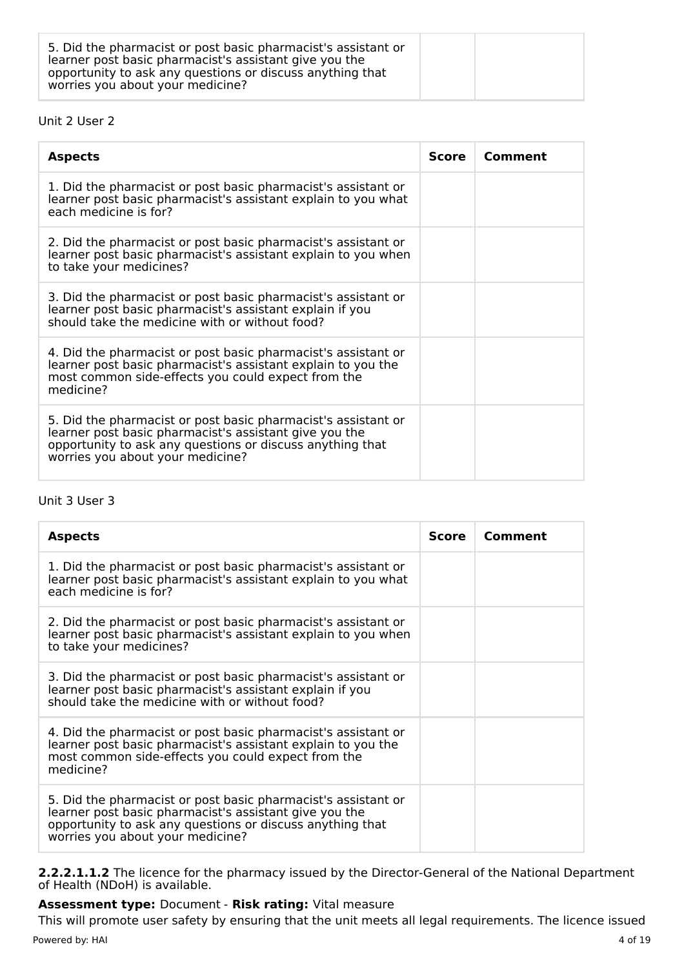| 5. Did the pharmacist or post basic pharmacist's assistant or<br>learner post basic pharmacist's assistant give you the<br>opportunity to ask any questions or discuss anything that<br>worries you about your medicine? |
|--------------------------------------------------------------------------------------------------------------------------------------------------------------------------------------------------------------------------|
|--------------------------------------------------------------------------------------------------------------------------------------------------------------------------------------------------------------------------|

## Unit 2 User 2

| <b>Aspects</b>                                                                                                                                                                                                           | <b>Score</b> | Comment |
|--------------------------------------------------------------------------------------------------------------------------------------------------------------------------------------------------------------------------|--------------|---------|
| 1. Did the pharmacist or post basic pharmacist's assistant or<br>learner post basic pharmacist's assistant explain to you what<br>each medicine is for?                                                                  |              |         |
| 2. Did the pharmacist or post basic pharmacist's assistant or<br>learner post basic pharmacist's assistant explain to you when<br>to take your medicines?                                                                |              |         |
| 3. Did the pharmacist or post basic pharmacist's assistant or<br>learner post basic pharmacist's assistant explain if you<br>should take the medicine with or without food?                                              |              |         |
| 4. Did the pharmacist or post basic pharmacist's assistant or<br>learner post basic pharmacist's assistant explain to you the<br>most common side-effects you could expect from the<br>medicine?                         |              |         |
| 5. Did the pharmacist or post basic pharmacist's assistant or<br>learner post basic pharmacist's assistant give you the<br>opportunity to ask any questions or discuss anything that<br>worries you about your medicine? |              |         |

## Unit 3 User 3

| <b>Aspects</b>                                                                                                                                                                                                           | <b>Score</b> | Comment |
|--------------------------------------------------------------------------------------------------------------------------------------------------------------------------------------------------------------------------|--------------|---------|
| 1. Did the pharmacist or post basic pharmacist's assistant or<br>learner post basic pharmacist's assistant explain to you what<br>each medicine is for?                                                                  |              |         |
| 2. Did the pharmacist or post basic pharmacist's assistant or<br>learner post basic pharmacist's assistant explain to you when<br>to take your medicines?                                                                |              |         |
| 3. Did the pharmacist or post basic pharmacist's assistant or<br>learner post basic pharmacist's assistant explain if you<br>should take the medicine with or without food?                                              |              |         |
| 4. Did the pharmacist or post basic pharmacist's assistant or<br>learner post basic pharmacist's assistant explain to you the<br>most common side-effects you could expect from the<br>medicine?                         |              |         |
| 5. Did the pharmacist or post basic pharmacist's assistant or<br>learner post basic pharmacist's assistant give you the<br>opportunity to ask any questions or discuss anything that<br>worries you about your medicine? |              |         |

**2.2.2.1.1.2** The licence for the pharmacy issued by the Director-General of the National Department of Health (NDoH) is available.

## **Assessment type:** Document - **Risk rating:** Vital measure

This will promote user safety by ensuring that the unit meets all legal requirements. The licence issued Powered by: HAI 4 of 19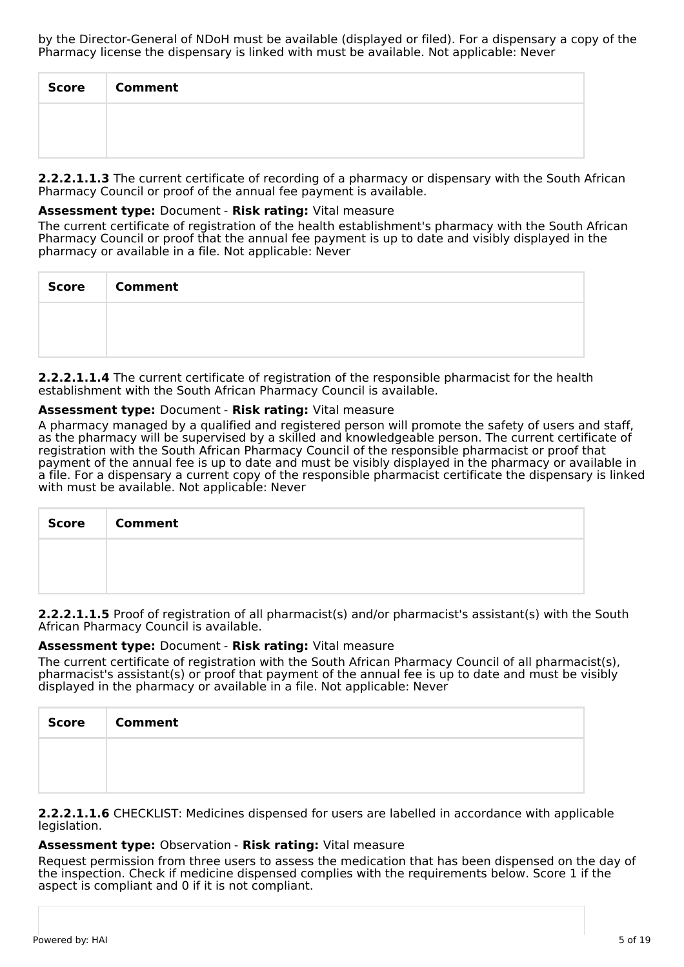| Score | <b>Comment</b> |
|-------|----------------|
|       |                |
|       |                |

**2.2.2.1.1.3** The current certificate of recording of a pharmacy or dispensary with the South African Pharmacy Council or proof of the annual fee payment is available.

## **Assessment type:** Document - **Risk rating:** Vital measure

The current certificate of registration of the health establishment's pharmacy with the South African Pharmacy Council or proof that the annual fee payment is up to date and visibly displayed in the pharmacy or available in a file. Not applicable: Never

| Score   Comment |
|-----------------|
|                 |
|                 |

**2.2.2.1.1.4** The current certificate of registration of the responsible pharmacist for the health establishment with the South African Pharmacy Council is available.

## **Assessment type:** Document - **Risk rating:** Vital measure

A pharmacy managed by a qualified and registered person will promote the safety of users and staff, as the pharmacy will be supervised by a skilled and knowledgeable person. The current certificate of registration with the South African Pharmacy Council of the responsible pharmacist or proof that payment of the annual fee is up to date and must be visibly displayed in the pharmacy or available in a file. For a dispensary a current copy of the responsible pharmacist certificate the dispensary is linked with must be available. Not applicable: Never

| Score   Comment |
|-----------------|
|                 |
|                 |

**2.2.2.1.1.5** Proof of registration of all pharmacist(s) and/or pharmacist's assistant(s) with the South African Pharmacy Council is available.

## **Assessment type:** Document - **Risk rating:** Vital measure

The current certificate of registration with the South African Pharmacy Council of all pharmacist(s), pharmacist's assistant(s) or proof that payment of the annual fee is up to date and must be visibly displayed in the pharmacy or available in a file. Not applicable: Never

| <b>Score</b> | <b>Comment</b> |
|--------------|----------------|
|              |                |
|              |                |

**2.2.2.1.1.6** CHECKLIST: Medicines dispensed for users are labelled in accordance with applicable legislation.

### **Assessment type:** Observation - **Risk rating:** Vital measure

Request permission from three users to assess the medication that has been dispensed on the day of the inspection. Check if medicine dispensed complies with the requirements below. Score 1 if the aspect is compliant and 0 if it is not compliant.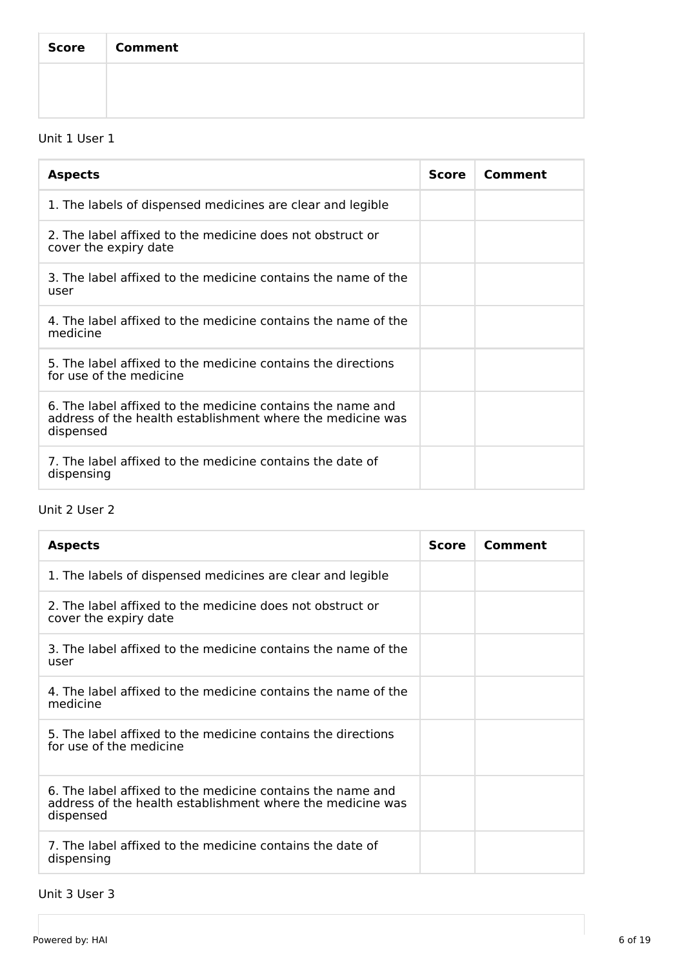| Score   Comment |
|-----------------|
|                 |
|                 |

# Unit 1 User 1

| <b>Aspects</b>                                                                                                                        | <b>Score</b> | Comment |
|---------------------------------------------------------------------------------------------------------------------------------------|--------------|---------|
| 1. The labels of dispensed medicines are clear and legible                                                                            |              |         |
| 2. The label affixed to the medicine does not obstruct or<br>cover the expiry date                                                    |              |         |
| 3. The label affixed to the medicine contains the name of the<br>user                                                                 |              |         |
| 4. The label affixed to the medicine contains the name of the<br>medicine                                                             |              |         |
| 5. The label affixed to the medicine contains the directions<br>for use of the medicine                                               |              |         |
| 6. The label affixed to the medicine contains the name and<br>address of the health establishment where the medicine was<br>dispensed |              |         |
| 7. The label affixed to the medicine contains the date of<br>dispensing                                                               |              |         |

# Unit 2 User 2

| <b>Aspects</b>                                                                                                                        | Score | Comment |
|---------------------------------------------------------------------------------------------------------------------------------------|-------|---------|
| 1. The labels of dispensed medicines are clear and legible                                                                            |       |         |
| 2. The label affixed to the medicine does not obstruct or<br>cover the expiry date                                                    |       |         |
| 3. The label affixed to the medicine contains the name of the<br>user                                                                 |       |         |
| 4. The label affixed to the medicine contains the name of the<br>medicine                                                             |       |         |
| 5. The label affixed to the medicine contains the directions<br>for use of the medicine                                               |       |         |
| 6. The label affixed to the medicine contains the name and<br>address of the health establishment where the medicine was<br>dispensed |       |         |
| 7. The label affixed to the medicine contains the date of<br>dispensing                                                               |       |         |

## Unit 3 User 3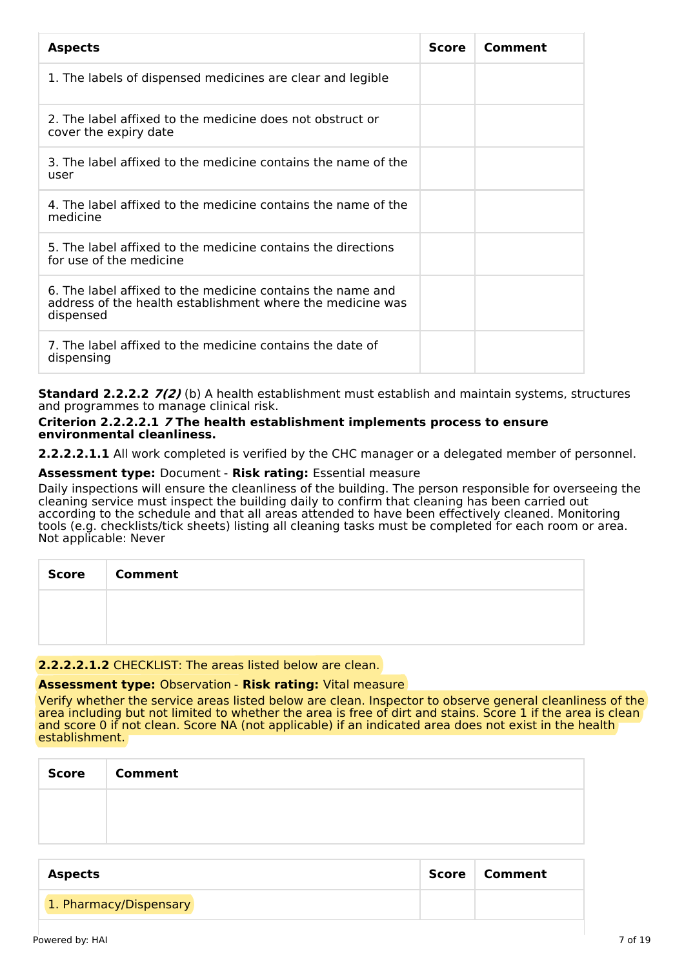| <b>Aspects</b>                                                                                                                        | <b>Score</b> | Comment |
|---------------------------------------------------------------------------------------------------------------------------------------|--------------|---------|
| 1. The labels of dispensed medicines are clear and legible                                                                            |              |         |
| 2. The label affixed to the medicine does not obstruct or<br>cover the expiry date                                                    |              |         |
| 3. The label affixed to the medicine contains the name of the<br>user                                                                 |              |         |
| 4. The label affixed to the medicine contains the name of the<br>medicine                                                             |              |         |
| 5. The label affixed to the medicine contains the directions<br>for use of the medicine                                               |              |         |
| 6. The label affixed to the medicine contains the name and<br>address of the health establishment where the medicine was<br>dispensed |              |         |
| 7. The label affixed to the medicine contains the date of<br>dispensing                                                               |              |         |

**Standard 2.2.2.2 7(2)** (b) A health establishment must establish and maintain systems, structures and programmes to manage clinical risk.

#### **Criterion 2.2.2.2.1 7 The health establishment implements process to ensure environmental cleanliness.**

**2.2.2.2.1.1** All work completed is verified by the CHC manager or a delegated member of personnel.

## **Assessment type:** Document - **Risk rating:** Essential measure

Daily inspections will ensure the cleanliness of the building. The person responsible for overseeing the cleaning service must inspect the building daily to confirm that cleaning has been carried out according to the schedule and that all areas attended to have been effectively cleaned. Monitoring tools (e.g. checklists/tick sheets) listing all cleaning tasks must be completed for each room or area. Not applicable: Never

| Score   Comment |
|-----------------|
|                 |
|                 |

## **2.2.2.2.1.2** CHECKLIST: The areas listed below are clean.

### **Assessment type:** Observation - **Risk rating:** Vital measure

Verify whether the service areas listed below are clean. Inspector to observe general cleanliness of the area including but not limited to whether the area is free of dirt and stains. Score 1 if the area is clean and score 0 if not clean. Score NA (not applicable) if an indicated area does not exist in the health establishment.

| <b>Score</b> | <b>Comment</b> |
|--------------|----------------|
|              |                |
|              |                |

| <b>Aspects</b>         | Score | ∣ Comment |
|------------------------|-------|-----------|
| 1. Pharmacy/Dispensary |       |           |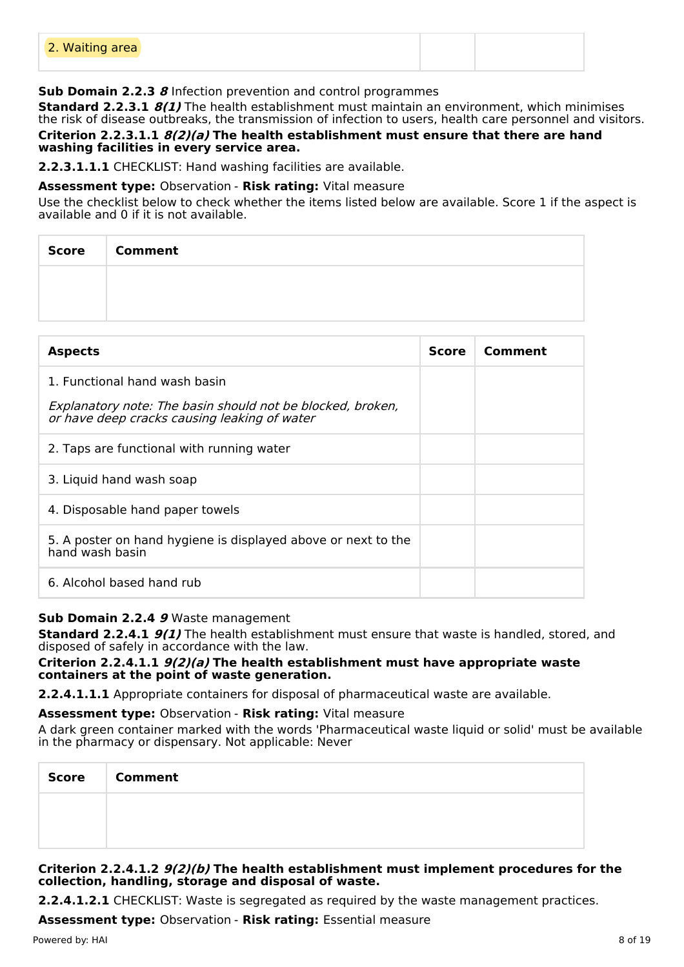|--|

## **Sub Domain 2.2.3 8** Infection prevention and control programmes

**Standard 2.2.3.1 8(1)** The health establishment must maintain an environment, which minimises the risk of disease outbreaks, the transmission of infection to users, health care personnel and visitors. **Criterion 2.2.3.1.1 8(2)(a) The health establishment must ensure that there are hand washing facilities in every service area.**

**2.2.3.1.1.1** CHECKLIST: Hand washing facilities are available.

## **Assessment type:** Observation - **Risk rating:** Vital measure

Use the checklist below to check whether the items listed below are available. Score 1 if the aspect is available and 0 if it is not available.

| Score Comment |
|---------------|
|               |
|               |

| <b>Aspects</b>                                                                                             | <b>Score</b> | Comment |
|------------------------------------------------------------------------------------------------------------|--------------|---------|
| 1. Functional hand wash basin                                                                              |              |         |
| Explanatory note: The basin should not be blocked, broken,<br>or have deep cracks causing leaking of water |              |         |
| 2. Taps are functional with running water                                                                  |              |         |
| 3. Liquid hand wash soap                                                                                   |              |         |
| 4. Disposable hand paper towels                                                                            |              |         |
| 5. A poster on hand hygiene is displayed above or next to the<br>hand wash basin                           |              |         |
| 6. Alcohol based hand rub                                                                                  |              |         |

### **Sub Domain 2.2.4 9** Waste management

**Standard 2.2.4.1 9(1)** The health establishment must ensure that waste is handled, stored, and disposed of safely in accordance with the law.

### **Criterion 2.2.4.1.1 9(2)(a) The health establishment must have appropriate waste containers at the point of waste generation.**

**2.2.4.1.1.1** Appropriate containers for disposal of pharmaceutical waste are available.

### **Assessment type:** Observation - **Risk rating:** Vital measure

A dark green container marked with the words 'Pharmaceutical waste liquid or solid' must be available in the pharmacy or dispensary. Not applicable: Never

| <b>Score</b> | <b>Comment</b> |
|--------------|----------------|
|              |                |
|              |                |

## **Criterion 2.2.4.1.2 9(2)(b) The health establishment must implement procedures for the collection, handling, storage and disposal of waste.**

**2.2.4.1.2.1** CHECKLIST: Waste is segregated as required by the waste management practices.

**Assessment type:** Observation - **Risk rating:** Essential measure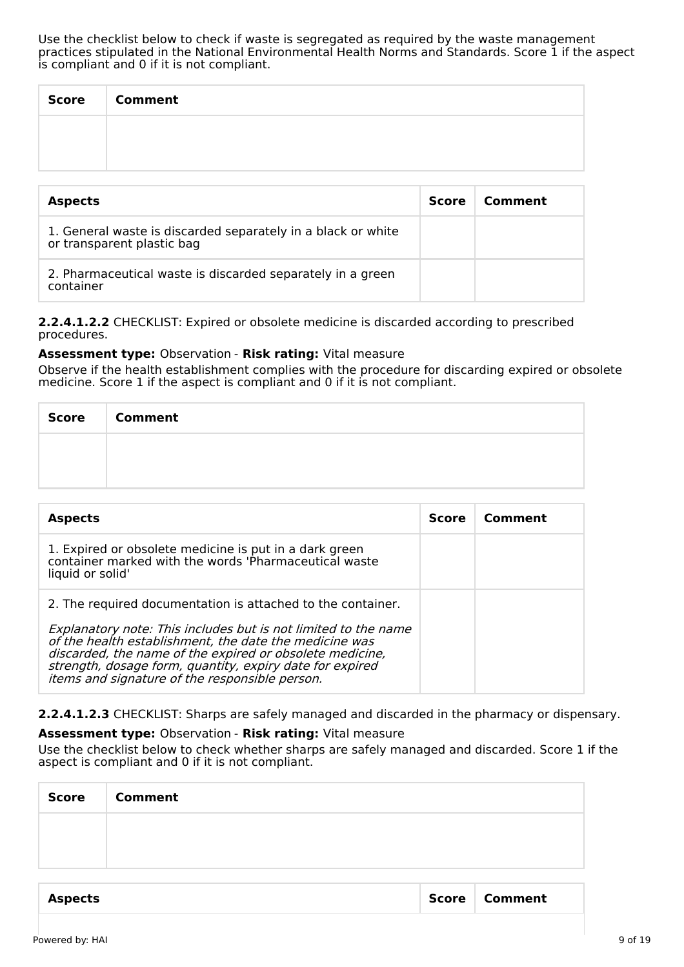Use the checklist below to check if waste is segregated as required by the waste management practices stipulated in the National Environmental Health Norms and Standards. Score 1 if the aspect is compliant and 0 if it is not compliant.

| <b>Score</b> | <b>Comment</b> |
|--------------|----------------|
|              |                |
|              |                |

| <b>Aspects</b>                                                                             | <b>Score</b> | Comment |
|--------------------------------------------------------------------------------------------|--------------|---------|
| 1. General waste is discarded separately in a black or white<br>or transparent plastic bag |              |         |
| 2. Pharmaceutical waste is discarded separately in a green<br>container                    |              |         |

**2.2.4.1.2.2** CHECKLIST: Expired or obsolete medicine is discarded according to prescribed procedures.

### **Assessment type:** Observation - **Risk rating:** Vital measure

Observe if the health establishment complies with the procedure for discarding expired or obsolete medicine. Score 1 if the aspect is compliant and 0 if it is not compliant.

| <b>Score</b> | <b>Comment</b> |
|--------------|----------------|
|              |                |
|              |                |

| <b>Aspects</b>                                                                                                                                                                                                                                                                                     | <b>Score</b> | Comment |
|----------------------------------------------------------------------------------------------------------------------------------------------------------------------------------------------------------------------------------------------------------------------------------------------------|--------------|---------|
| 1. Expired or obsolete medicine is put in a dark green<br>container marked with the words 'Pharmaceutical waste<br>liquid or solid'                                                                                                                                                                |              |         |
| 2. The required documentation is attached to the container.                                                                                                                                                                                                                                        |              |         |
| Explanatory note: This includes but is not limited to the name<br>of the health establishment, the date the medicine was<br>discarded, the name of the expired or obsolete medicine,<br>strength, dosage form, quantity, expiry date for expired<br>items and signature of the responsible person. |              |         |

## **2.2.4.1.2.3** CHECKLIST: Sharps are safely managed and discarded in the pharmacy or dispensary.

### **Assessment type:** Observation - **Risk rating:** Vital measure

Use the checklist below to check whether sharps are safely managed and discarded. Score 1 if the aspect is compliant and 0 if it is not compliant.

| <b>Score</b> | <b>Comment</b> |  |
|--------------|----------------|--|
|              |                |  |
|              |                |  |
|              |                |  |

| <b>Aspects</b> | Score   Comment |
|----------------|-----------------|
|                |                 |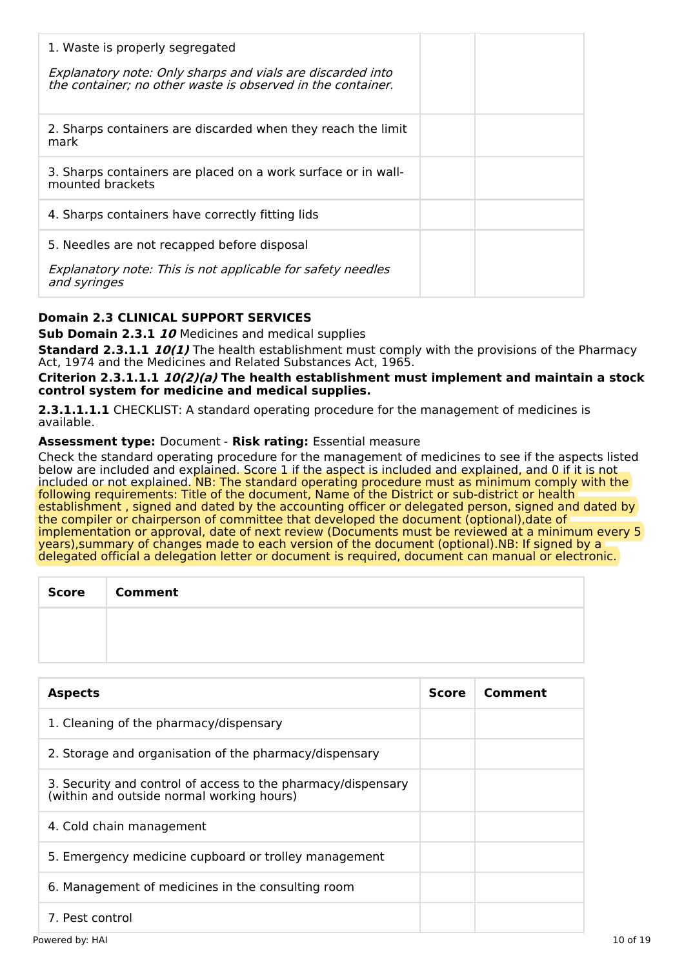| 1. Waste is properly segregated<br>Explanatory note: Only sharps and vials are discarded into<br>the container; no other waste is observed in the container. |  |
|--------------------------------------------------------------------------------------------------------------------------------------------------------------|--|
| 2. Sharps containers are discarded when they reach the limit<br>mark                                                                                         |  |
| 3. Sharps containers are placed on a work surface or in wall-<br>mounted brackets                                                                            |  |
| 4. Sharps containers have correctly fitting lids                                                                                                             |  |
| 5. Needles are not recapped before disposal                                                                                                                  |  |
| Explanatory note: This is not applicable for safety needles<br>and syringes                                                                                  |  |

## **Domain 2.3 CLINICAL SUPPORT SERVICES**

**Sub Domain 2.3.1 10** Medicines and medical supplies

**Standard 2.3.1.1 10(1)** The health establishment must comply with the provisions of the Pharmacy Act, 1974 and the Medicines and Related Substances Act, 1965.

**Criterion 2.3.1.1.1 10(2)(a) The health establishment must implement and maintain a stock control system for medicine and medical supplies.**

**2.3.1.1.1.1** CHECKLIST: A standard operating procedure for the management of medicines is available.

## **Assessment type:** Document - **Risk rating:** Essential measure

Check the standard operating procedure for the management of medicines to see if the aspects listed below are included and explained. Score 1 if the aspect is included and explained, and 0 if it is not included or not explained. NB: The standard operating procedure must as minimum comply with the following requirements: Title of the document, Name of the District or sub-district or health establishment , signed and dated by the accounting officer or delegated person, signed and dated by the compiler or chairperson of committee that developed the document (optional),date of implementation or approval, date of next review (Documents must be reviewed at a minimum every 5 years),summary of changes made to each version of the document (optional).NB: If signed by a delegated official a delegation letter or document is required, document can manual or electronic.

| Score   Comment |
|-----------------|
|                 |
|                 |

| <b>Aspects</b>                                                                                            | Score | Comment |
|-----------------------------------------------------------------------------------------------------------|-------|---------|
| 1. Cleaning of the pharmacy/dispensary                                                                    |       |         |
| 2. Storage and organisation of the pharmacy/dispensary                                                    |       |         |
| 3. Security and control of access to the pharmacy/dispensary<br>(within and outside normal working hours) |       |         |
| 4. Cold chain management                                                                                  |       |         |
| 5. Emergency medicine cupboard or trolley management                                                      |       |         |
| 6. Management of medicines in the consulting room                                                         |       |         |
| 7. Pest control                                                                                           |       |         |
| Powered by: HAI                                                                                           |       |         |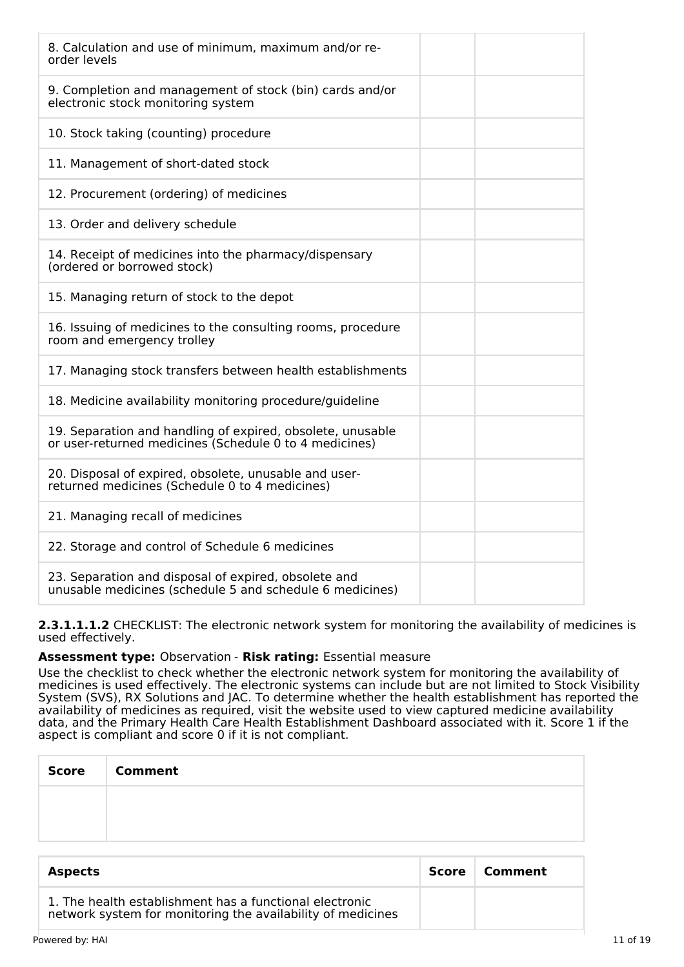| 8. Calculation and use of minimum, maximum and/or re-<br>order levels                                                |  |
|----------------------------------------------------------------------------------------------------------------------|--|
| 9. Completion and management of stock (bin) cards and/or<br>electronic stock monitoring system                       |  |
| 10. Stock taking (counting) procedure                                                                                |  |
| 11. Management of short-dated stock                                                                                  |  |
| 12. Procurement (ordering) of medicines                                                                              |  |
| 13. Order and delivery schedule                                                                                      |  |
| 14. Receipt of medicines into the pharmacy/dispensary<br>(ordered or borrowed stock)                                 |  |
| 15. Managing return of stock to the depot                                                                            |  |
| 16. Issuing of medicines to the consulting rooms, procedure<br>room and emergency trolley                            |  |
| 17. Managing stock transfers between health establishments                                                           |  |
| 18. Medicine availability monitoring procedure/guideline                                                             |  |
| 19. Separation and handling of expired, obsolete, unusable<br>or user-returned medicines (Schedule 0 to 4 medicines) |  |
| 20. Disposal of expired, obsolete, unusable and user-<br>returned medicines (Schedule 0 to 4 medicines)              |  |
| 21. Managing recall of medicines                                                                                     |  |
| 22. Storage and control of Schedule 6 medicines                                                                      |  |
| 23. Separation and disposal of expired, obsolete and<br>unusable medicines (schedule 5 and schedule 6 medicines)     |  |

**2.3.1.1.1.2** CHECKLIST: The electronic network system for monitoring the availability of medicines is used effectively.

### **Assessment type:** Observation - **Risk rating:** Essential measure

Use the checklist to check whether the electronic network system for monitoring the availability of medicines is used effectively. The electronic systems can include but are not limited to Stock Visibility System (SVS), RX Solutions and JAC. To determine whether the health establishment has reported the availability of medicines as required, visit the website used to view captured medicine availability data, and the Primary Health Care Health Establishment Dashboard associated with it. Score 1 if the aspect is compliant and score 0 if it is not compliant.

| Score | <b>Comment</b> |
|-------|----------------|
|       |                |
|       |                |

| <b>Aspects</b>                                                                                                         | Score | Comment |
|------------------------------------------------------------------------------------------------------------------------|-------|---------|
| 1. The health establishment has a functional electronic<br>network system for monitoring the availability of medicines |       |         |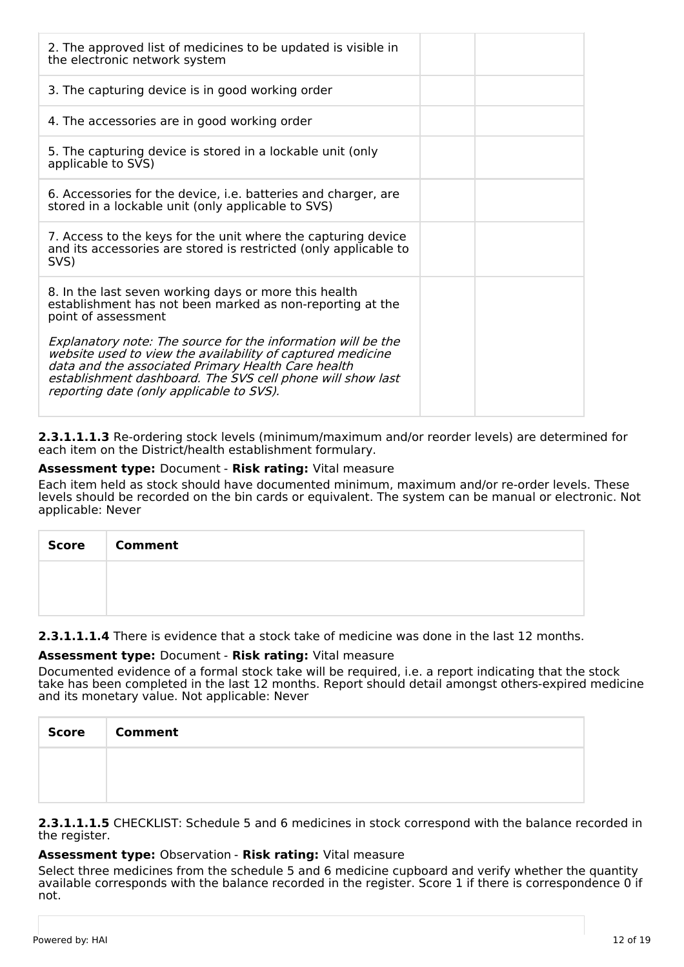| 2. The approved list of medicines to be updated is visible in<br>the electronic network system                                                                                                                                                                                             |
|--------------------------------------------------------------------------------------------------------------------------------------------------------------------------------------------------------------------------------------------------------------------------------------------|
| 3. The capturing device is in good working order                                                                                                                                                                                                                                           |
| 4. The accessories are in good working order                                                                                                                                                                                                                                               |
| 5. The capturing device is stored in a lockable unit (only<br>applicable to SVS)                                                                                                                                                                                                           |
| 6. Accessories for the device, <i>i.e.</i> batteries and charger, are<br>stored in a lockable unit (only applicable to SVS)                                                                                                                                                                |
| 7. Access to the keys for the unit where the capturing device<br>and its accessories are stored is restricted (only applicable to<br>SVS)                                                                                                                                                  |
| 8. In the last seven working days or more this health<br>establishment has not been marked as non-reporting at the<br>point of assessment                                                                                                                                                  |
| Explanatory note: The source for the information will be the<br>website used to view the availability of captured medicine<br>data and the associated Primary Health Care health<br>establishment dashboard. The SVS cell phone will show last<br>reporting date (only applicable to SVS). |

**2.3.1.1.1.3** Re-ordering stock levels (minimum/maximum and/or reorder levels) are determined for each item on the District/health establishment formulary.

### **Assessment type:** Document - **Risk rating:** Vital measure

Each item held as stock should have documented minimum, maximum and/or re-order levels. These levels should be recorded on the bin cards or equivalent. The system can be manual or electronic. Not applicable: Never

| Score Comment |
|---------------|
|               |
|               |

### **2.3.1.1.1.4** There is evidence that a stock take of medicine was done in the last 12 months.

### **Assessment type:** Document - **Risk rating:** Vital measure

Documented evidence of a formal stock take will be required, i.e. a report indicating that the stock take has been completed in the last 12 months. Report should detail amongst others-expired medicine and its monetary value. Not applicable: Never

| <b>Score</b> | <b>Comment</b> |
|--------------|----------------|
|              |                |
|              |                |

**2.3.1.1.1.5** CHECKLIST: Schedule 5 and 6 medicines in stock correspond with the balance recorded in the register.

### **Assessment type:** Observation - **Risk rating:** Vital measure

Select three medicines from the schedule 5 and 6 medicine cupboard and verify whether the quantity available corresponds with the balance recorded in the register. Score 1 if there is correspondence 0 if not.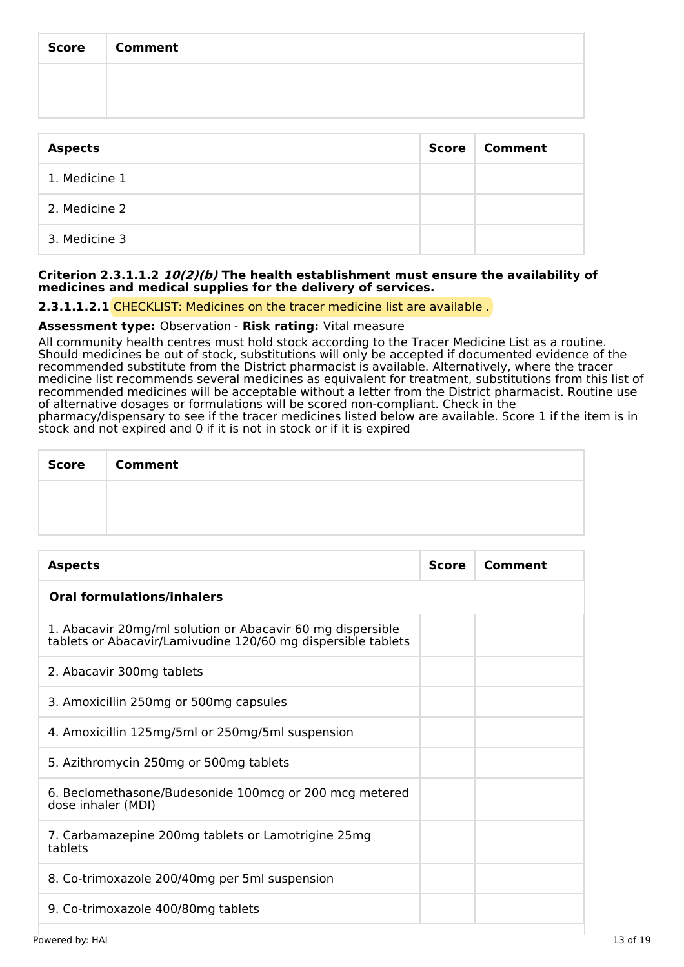| <b>Score</b>   | <b>Comment</b> |              |         |
|----------------|----------------|--------------|---------|
|                |                |              |         |
|                |                |              |         |
| <b>Aspects</b> |                | <b>Score</b> | Comment |

| 1. Medicine 1 |  |
|---------------|--|
| 2. Medicine 2 |  |
| 3. Medicine 3 |  |

### **Criterion 2.3.1.1.2 10(2)(b) The health establishment must ensure the availability of medicines and medical supplies for the delivery of services.**

## **2.3.1.1.2.1** CHECKLIST: Medicines on the tracer medicine list are available .

## **Assessment type:** Observation - **Risk rating:** Vital measure

All community health centres must hold stock according to the Tracer Medicine List as a routine. Should medicines be out of stock, substitutions will only be accepted if documented evidence of the recommended substitute from the District pharmacist is available. Alternatively, where the tracer medicine list recommends several medicines as equivalent for treatment, substitutions from this list of recommended medicines will be acceptable without a letter from the District pharmacist. Routine use of alternative dosages or formulations will be scored non-compliant. Check in the

pharmacy/dispensary to see if the tracer medicines listed below are available. Score 1 if the item is in stock and not expired and 0 if it is not in stock or if it is expired

| Score   Comment |
|-----------------|
|                 |
|                 |

| <b>Aspects</b>                                                                                                             | <b>Score</b> | Comment |
|----------------------------------------------------------------------------------------------------------------------------|--------------|---------|
| <b>Oral formulations/inhalers</b>                                                                                          |              |         |
| 1. Abacavir 20mg/ml solution or Abacavir 60 mg dispersible<br>tablets or Abacavir/Lamivudine 120/60 mg dispersible tablets |              |         |
| 2. Abacavir 300mg tablets                                                                                                  |              |         |
| 3. Amoxicillin 250mg or 500mg capsules                                                                                     |              |         |
| 4. Amoxicillin 125mg/5ml or 250mg/5ml suspension                                                                           |              |         |
| 5. Azithromycin 250mg or 500mg tablets                                                                                     |              |         |
| 6. Beclomethasone/Budesonide 100 mcg or 200 mcg metered<br>dose inhaler (MDI)                                              |              |         |
| 7. Carbamazepine 200mg tablets or Lamotrigine 25mg<br>tablets                                                              |              |         |
| 8. Co-trimoxazole 200/40mg per 5ml suspension                                                                              |              |         |
| 9. Co-trimoxazole 400/80mg tablets                                                                                         |              |         |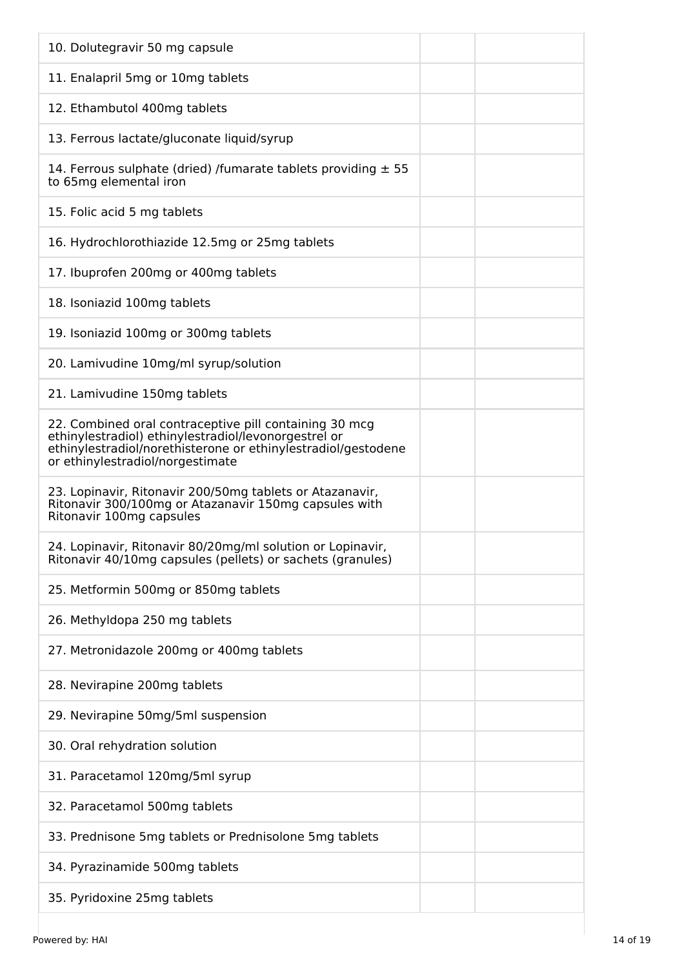| 10. Dolutegravir 50 mg capsule                                                                                                                                                                                      |
|---------------------------------------------------------------------------------------------------------------------------------------------------------------------------------------------------------------------|
| 11. Enalapril 5mg or 10mg tablets                                                                                                                                                                                   |
| 12. Ethambutol 400mg tablets                                                                                                                                                                                        |
| 13. Ferrous lactate/gluconate liquid/syrup                                                                                                                                                                          |
| 14. Ferrous sulphate (dried) /fumarate tablets providing $\pm$ 55<br>to 65mg elemental iron                                                                                                                         |
| 15. Folic acid 5 mg tablets                                                                                                                                                                                         |
| 16. Hydrochlorothiazide 12.5mg or 25mg tablets                                                                                                                                                                      |
| 17. Ibuprofen 200mg or 400mg tablets                                                                                                                                                                                |
| 18. Isoniazid 100mg tablets                                                                                                                                                                                         |
| 19. Isoniazid 100mg or 300mg tablets                                                                                                                                                                                |
| 20. Lamivudine 10mg/ml syrup/solution                                                                                                                                                                               |
| 21. Lamivudine 150mg tablets                                                                                                                                                                                        |
| 22. Combined oral contraceptive pill containing 30 mcg<br>ethinylestradiol) ethinylestradiol/levonorgestrel or<br>ethinylestradiol/norethisterone or ethinylestradiol/gestodene<br>or ethinylestradiol/norgestimate |
| 23. Lopinavir, Ritonavir 200/50mg tablets or Atazanavir,<br>Ritonavir 300/100mg or Atazanavir 150mg capsules with<br>Ritonavir 100mg capsules                                                                       |
| 24. Lopinavir, Ritonavir 80/20mg/ml solution or Lopinavir<br>Ritonavir 40/10mg capsules (pellets) or sachets (granules)                                                                                             |
| 25. Metformin 500mg or 850mg tablets                                                                                                                                                                                |
| 26. Methyldopa 250 mg tablets                                                                                                                                                                                       |
| 27. Metronidazole 200mg or 400mg tablets                                                                                                                                                                            |
| 28. Nevirapine 200mg tablets                                                                                                                                                                                        |
| 29. Nevirapine 50mg/5ml suspension                                                                                                                                                                                  |
| 30. Oral rehydration solution                                                                                                                                                                                       |
| 31. Paracetamol 120mg/5ml syrup                                                                                                                                                                                     |
| 32. Paracetamol 500mg tablets                                                                                                                                                                                       |
| 33. Prednisone 5mg tablets or Prednisolone 5mg tablets                                                                                                                                                              |
| 34. Pyrazinamide 500mg tablets                                                                                                                                                                                      |
| 35. Pyridoxine 25mg tablets                                                                                                                                                                                         |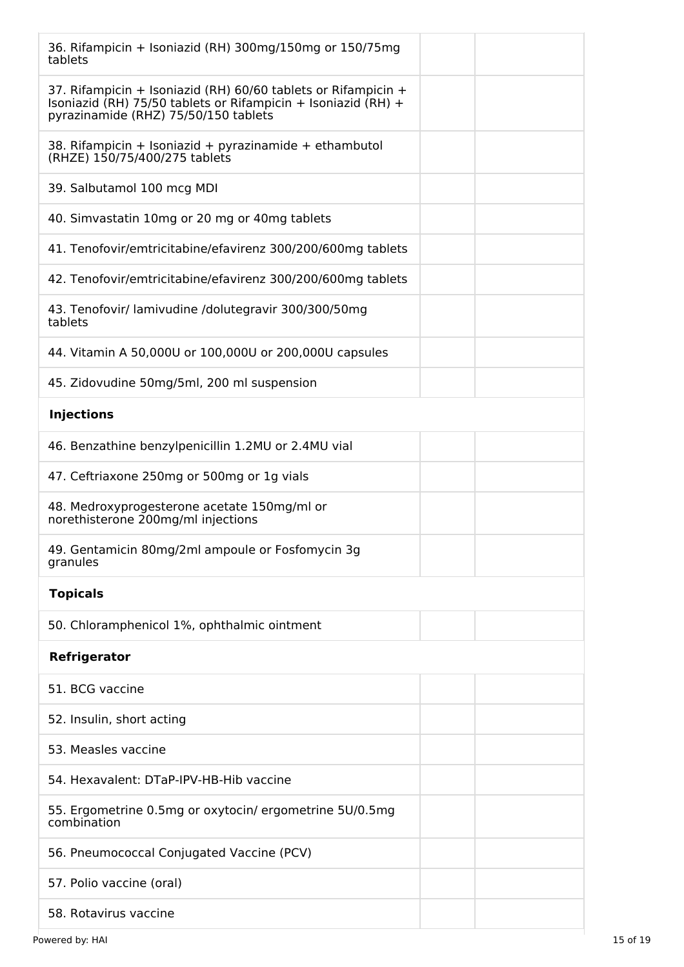| 36. Rifampicin + Isoniazid (RH) 300mg/150mg or 150/75mg<br>tablets                                                                                                     |  |
|------------------------------------------------------------------------------------------------------------------------------------------------------------------------|--|
| 37. Rifampicin + Isoniazid (RH) 60/60 tablets or Rifampicin +<br>Isoniazid (RH) 75/50 tablets or Rifampicin + Isoniazid (RH) +<br>pyrazinamide (RHZ) 75/50/150 tablets |  |
| 38. Rifampicin + Isoniazid + pyrazinamide + ethambutol<br>(RHZE) 150/75/400/275 tablets                                                                                |  |
| 39. Salbutamol 100 mcg MDI                                                                                                                                             |  |
| 40. Simvastatin 10mg or 20 mg or 40mg tablets                                                                                                                          |  |
| 41. Tenofovir/emtricitabine/efavirenz 300/200/600mg tablets                                                                                                            |  |
| 42. Tenofovir/emtricitabine/efavirenz 300/200/600mg tablets                                                                                                            |  |
| 43. Tenofovir/ lamivudine /dolutegravir 300/300/50mg<br>tablets                                                                                                        |  |
| 44. Vitamin A 50,000U or 100,000U or 200,000U capsules                                                                                                                 |  |
| 45. Zidovudine 50mg/5ml, 200 ml suspension                                                                                                                             |  |
| <b>Injections</b>                                                                                                                                                      |  |
| 46. Benzathine benzylpenicillin 1.2MU or 2.4MU vial                                                                                                                    |  |
| 47. Ceftriaxone 250mg or 500mg or 1g vials                                                                                                                             |  |
| 48. Medroxyprogesterone acetate 150mg/ml or<br>norethisterone 200mg/ml injections                                                                                      |  |
| 49. Gentamicin 80mg/2ml ampoule or Fosfomycin 3g<br>granules                                                                                                           |  |
| <b>Topicals</b>                                                                                                                                                        |  |
| 50. Chloramphenicol 1%, ophthalmic ointment                                                                                                                            |  |
| Refrigerator                                                                                                                                                           |  |
| 51. BCG vaccine                                                                                                                                                        |  |
| 52. Insulin, short acting                                                                                                                                              |  |
| 53. Measles vaccine                                                                                                                                                    |  |
| 54. Hexavalent: DTaP-IPV-HB-Hib vaccine                                                                                                                                |  |
| 55. Ergometrine 0.5mg or oxytocin/ ergometrine 5U/0.5mg<br>combination                                                                                                 |  |
| 56. Pneumococcal Conjugated Vaccine (PCV)                                                                                                                              |  |
| 57. Polio vaccine (oral)                                                                                                                                               |  |
| 58. Rotavirus vaccine                                                                                                                                                  |  |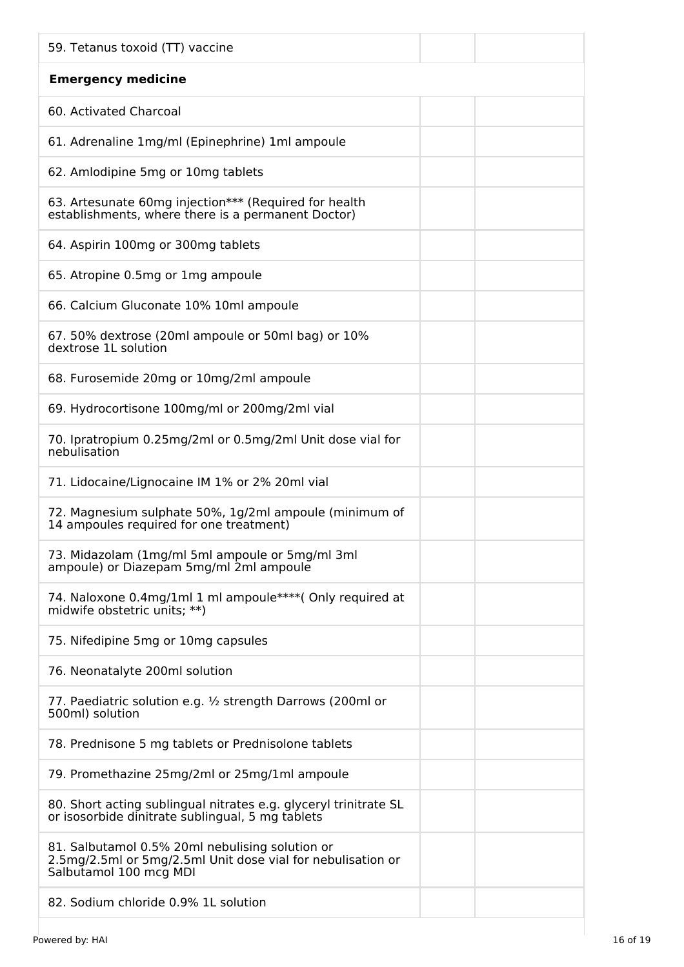| 59. Tetanus toxoid (TT) vaccine                                                                                                          |  |
|------------------------------------------------------------------------------------------------------------------------------------------|--|
| <b>Emergency medicine</b>                                                                                                                |  |
| 60. Activated Charcoal                                                                                                                   |  |
| 61. Adrenaline 1mg/ml (Epinephrine) 1ml ampoule                                                                                          |  |
| 62. Amlodipine 5mg or 10mg tablets                                                                                                       |  |
| 63. Artesunate 60mg injection*** (Required for health<br>establishments, where there is a permanent Doctor)                              |  |
| 64. Aspirin 100mg or 300mg tablets                                                                                                       |  |
| 65. Atropine 0.5mg or 1mg ampoule                                                                                                        |  |
| 66. Calcium Gluconate 10% 10ml ampoule                                                                                                   |  |
| 67. 50% dextrose (20ml ampoule or 50ml bag) or 10%<br>dextrose 1L solution                                                               |  |
| 68. Furosemide 20mg or 10mg/2ml ampoule                                                                                                  |  |
| 69. Hydrocortisone 100mg/ml or 200mg/2ml vial                                                                                            |  |
| 70. Ipratropium 0.25mg/2ml or 0.5mg/2ml Unit dose vial for<br>nebulisation                                                               |  |
| 71. Lidocaine/Lignocaine IM 1% or 2% 20ml vial                                                                                           |  |
| 72. Magnesium sulphate 50%, 1g/2ml ampoule (minimum of<br>14 ampoules required for one treatment)                                        |  |
| 73. Midazolam (1mg/ml 5ml ampoule or 5mg/ml 3ml<br>ampoule) or Diazepam 5mg/ml 2ml ampoule                                               |  |
| 74. Naloxone 0.4mg/1ml 1 ml ampoule****( Only required at<br>midwife obstetric units; **)                                                |  |
| 75. Nifedipine 5mg or 10mg capsules                                                                                                      |  |
| 76. Neonatalyte 200ml solution                                                                                                           |  |
| 77. Paediatric solution e.g. 1/2 strength Darrows (200ml or<br>500ml) solution                                                           |  |
| 78. Prednisone 5 mg tablets or Prednisolone tablets                                                                                      |  |
| 79. Promethazine 25mg/2ml or 25mg/1ml ampoule                                                                                            |  |
| 80. Short acting sublingual nitrates e.g. glyceryl trinitrate SL<br>or isosorbide dinitrate sublingual, 5 mg tablets                     |  |
| 81. Salbutamol 0.5% 20ml nebulising solution or<br>2.5mg/2.5ml or 5mg/2.5ml Unit dose vial for nebulisation or<br>Salbutamol 100 mcg MDI |  |
| 82. Sodium chloride 0.9% 1L solution                                                                                                     |  |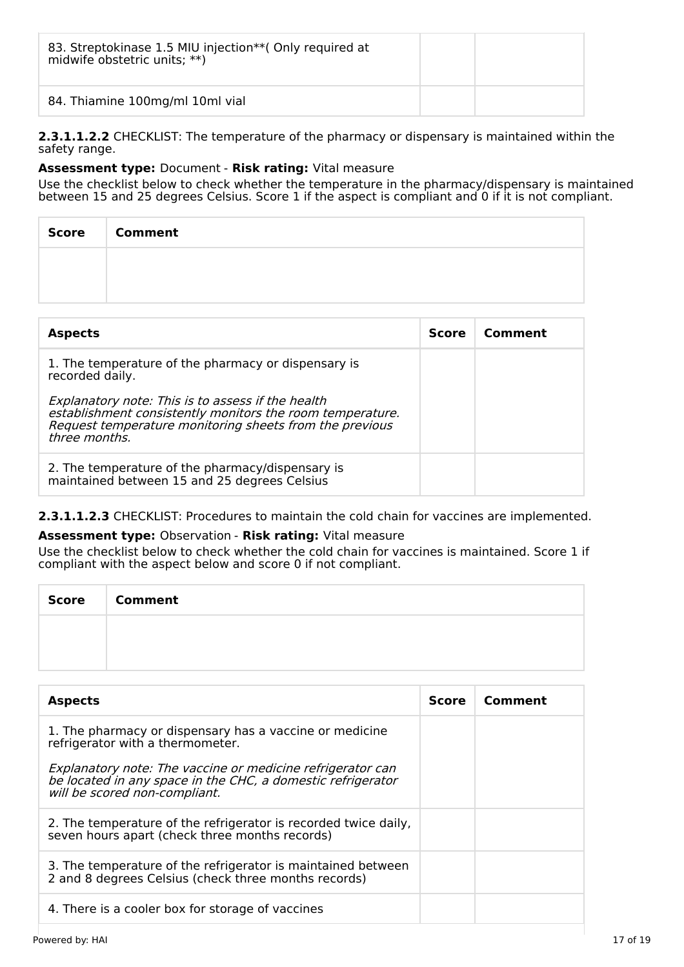| 83. Streptokinase 1.5 MIU injection** (Only required at<br>midwife obstetric units; **) |  |
|-----------------------------------------------------------------------------------------|--|
| 84. Thiamine 100mg/ml 10ml vial                                                         |  |

**2.3.1.1.2.2** CHECKLIST: The temperature of the pharmacy or dispensary is maintained within the safety range.

## **Assessment type:** Document - **Risk rating:** Vital measure

Use the checklist below to check whether the temperature in the pharmacy/dispensary is maintained between 15 and 25 degrees Celsius. Score 1 if the aspect is compliant and 0 if it is not compliant.

| Score | <b>Comment</b> |
|-------|----------------|
|       |                |
|       |                |

| <b>Aspects</b>                                                                                                                                                                             | <b>Score</b> | Comment |
|--------------------------------------------------------------------------------------------------------------------------------------------------------------------------------------------|--------------|---------|
| 1. The temperature of the pharmacy or dispensary is<br>recorded daily.                                                                                                                     |              |         |
| Explanatory note: This is to assess if the health<br>establishment consistently monitors the room temperature.<br>Request temperature monitoring sheets from the previous<br>three months. |              |         |
| 2. The temperature of the pharmacy/dispensary is<br>maintained between 15 and 25 degrees Celsius                                                                                           |              |         |

## **2.3.1.1.2.3** CHECKLIST: Procedures to maintain the cold chain for vaccines are implemented.

## **Assessment type:** Observation - **Risk rating:** Vital measure

Use the checklist below to check whether the cold chain for vaccines is maintained. Score 1 if compliant with the aspect below and score 0 if not compliant.

| Score | <b>Comment</b> |
|-------|----------------|
|       |                |
|       |                |

| <b>Aspects</b>                                                                                                                                             | <b>Score</b> | Comment |
|------------------------------------------------------------------------------------------------------------------------------------------------------------|--------------|---------|
| 1. The pharmacy or dispensary has a vaccine or medicine<br>refrigerator with a thermometer.                                                                |              |         |
| Explanatory note: The vaccine or medicine refrigerator can<br>be located in any space in the CHC, a domestic refrigerator<br>will be scored non-compliant. |              |         |
| 2. The temperature of the refrigerator is recorded twice daily,<br>seven hours apart (check three months records)                                          |              |         |
| 3. The temperature of the refrigerator is maintained between<br>2 and 8 degrees Celsius (check three months records)                                       |              |         |
| 4. There is a cooler box for storage of vaccines                                                                                                           |              |         |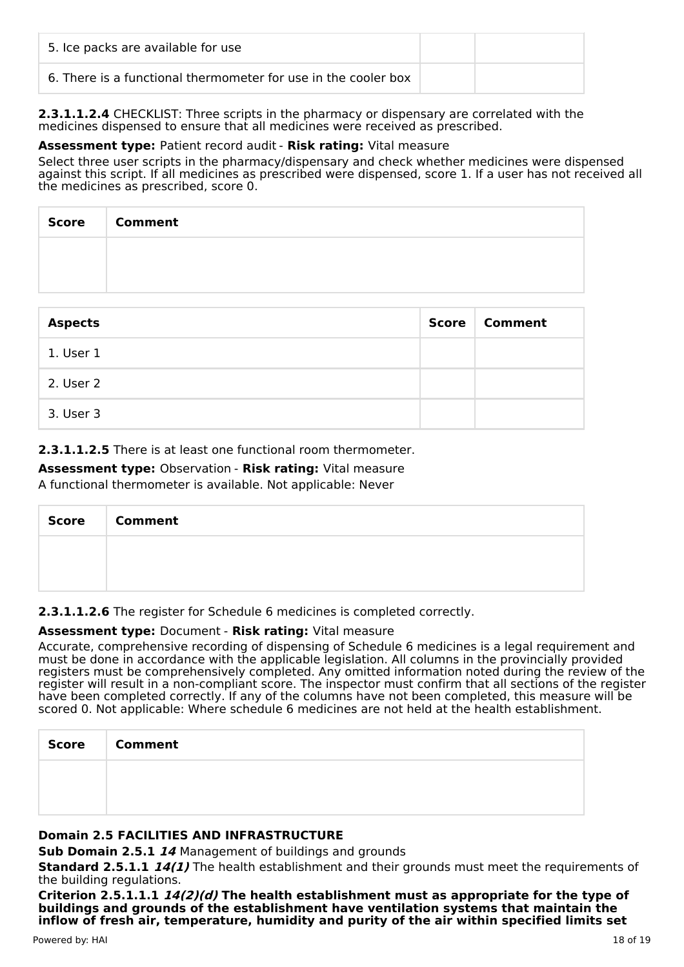| 5. Ice packs are available for use                             |  |
|----------------------------------------------------------------|--|
| 6. There is a functional thermometer for use in the cooler box |  |

**2.3.1.1.2.4** CHECKLIST: Three scripts in the pharmacy or dispensary are correlated with the medicines dispensed to ensure that all medicines were received as prescribed.

## **Assessment type:** Patient record audit - **Risk rating:** Vital measure

Select three user scripts in the pharmacy/dispensary and check whether medicines were dispensed against this script. If all medicines as prescribed were dispensed, score 1. If a user has not received all the medicines as prescribed, score 0.

| <b>Score</b> | <b>Comment</b> |
|--------------|----------------|
|              |                |
|              |                |

| <b>Aspects</b> | Score | Comment |
|----------------|-------|---------|
| 1. User 1      |       |         |
| 2. User 2      |       |         |
| 3. User 3      |       |         |

## **2.3.1.1.2.5** There is at least one functional room thermometer.

# **Assessment type:** Observation - **Risk rating:** Vital measure

A functional thermometer is available. Not applicable: Never

| <b>Score</b> | <b>Comment</b> |
|--------------|----------------|
|              |                |
|              |                |

## **2.3.1.1.2.6** The register for Schedule 6 medicines is completed correctly.

## **Assessment type:** Document - **Risk rating:** Vital measure

Accurate, comprehensive recording of dispensing of Schedule 6 medicines is a legal requirement and must be done in accordance with the applicable legislation. All columns in the provincially provided registers must be comprehensively completed. Any omitted information noted during the review of the register will result in a non-compliant score. The inspector must confirm that all sections of the register have been completed correctly. If any of the columns have not been completed, this measure will be scored 0. Not applicable: Where schedule 6 medicines are not held at the health establishment.

| <b>Score</b> | <b>Comment</b> |
|--------------|----------------|
|              |                |
|              |                |

## **Domain 2.5 FACILITIES AND INFRASTRUCTURE**

**Sub Domain 2.5.1 14** Management of buildings and grounds

**Standard 2.5.1.1 14(1)** The health establishment and their grounds must meet the requirements of the building regulations.

**Criterion 2.5.1.1.1 14(2)(d) The health establishment must as appropriate for the type of buildings and grounds of the establishment have ventilation systems that maintain the inflow of fresh air, temperature, humidity and purity of the air within specified limits set**